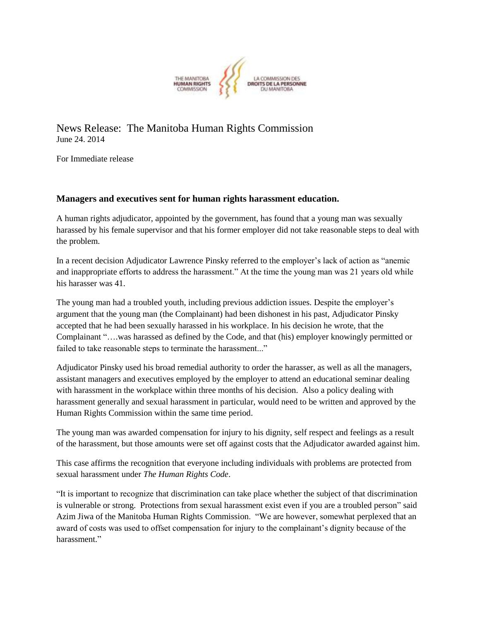

News Release: The Manitoba Human Rights Commission June 24. 2014

For Immediate release

## **Managers and executives sent for human rights harassment education.**

A human rights adjudicator, appointed by the government, has found that a young man was sexually harassed by his female supervisor and that his former employer did not take reasonable steps to deal with the problem.

In a recent decision Adjudicator Lawrence Pinsky referred to the employer's lack of action as "anemic and inappropriate efforts to address the harassment." At the time the young man was 21 years old while his harasser was 41.

The young man had a troubled youth, including previous addiction issues. Despite the employer's argument that the young man (the Complainant) had been dishonest in his past, Adjudicator Pinsky accepted that he had been sexually harassed in his workplace. In his decision he wrote, that the Complainant "….was harassed as defined by the Code, and that (his) employer knowingly permitted or failed to take reasonable steps to terminate the harassment..."

Adjudicator Pinsky used his broad remedial authority to order the harasser, as well as all the managers, assistant managers and executives employed by the employer to attend an educational seminar dealing with harassment in the workplace within three months of his decision. Also a policy dealing with harassment generally and sexual harassment in particular, would need to be written and approved by the Human Rights Commission within the same time period.

The young man was awarded compensation for injury to his dignity, self respect and feelings as a result of the harassment, but those amounts were set off against costs that the Adjudicator awarded against him.

This case affirms the recognition that everyone including individuals with problems are protected from sexual harassment under *The Human Rights Code*.

"It is important to recognize that discrimination can take place whether the subject of that discrimination is vulnerable or strong. Protections from sexual harassment exist even if you are a troubled person" said Azim Jiwa of the Manitoba Human Rights Commission. "We are however, somewhat perplexed that an award of costs was used to offset compensation for injury to the complainant's dignity because of the harassment."